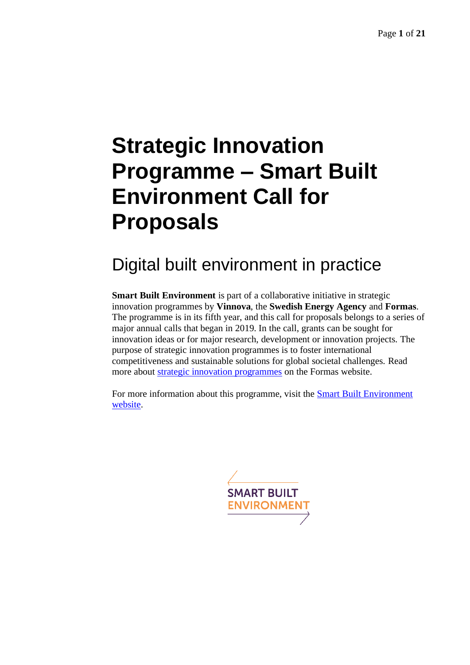# **Strategic Innovation Programme – Smart Built Environment Call for Proposals**

# Digital built environment in practice

**Smart Built Environment** is part of a collaborative initiative in strategic innovation programmes by **Vinnova**, the **Swedish Energy Agency** and **Formas**. The programme is in its fifth year, and this call for proposals belongs to a series of major annual calls that began in 2019. In the call, grants can be sought for innovation ideas or for major research, development or innovation projects. The purpose of strategic innovation programmes is to foster international competitiveness and sustainable solutions for global societal challenges. Read more about [strategic innovation programmes](https://www.formas.se/en/start-page/applying-for-funding/different-types-of-financing/strategic-innovation-programmes.html) on the Formas website.

For more information about this programme, visit the **Smart Built Environment** [website.](https://www.smartbuilt.se/in-english/)

**SMART BUILT ENVIRONMENT**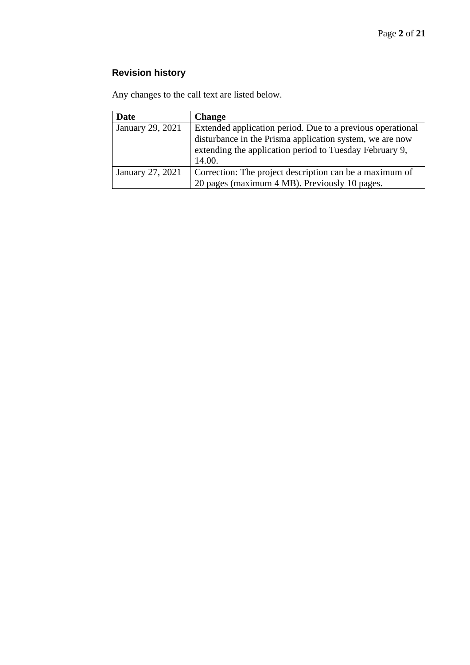### **Revision history**

Any changes to the call text are listed below.

| Date             | <b>Change</b>                                              |
|------------------|------------------------------------------------------------|
| January 29, 2021 | Extended application period. Due to a previous operational |
|                  | disturbance in the Prisma application system, we are now   |
|                  | extending the application period to Tuesday February 9,    |
|                  | 14.00.                                                     |
| January 27, 2021 | Correction: The project description can be a maximum of    |
|                  | 20 pages (maximum 4 MB). Previously 10 pages.              |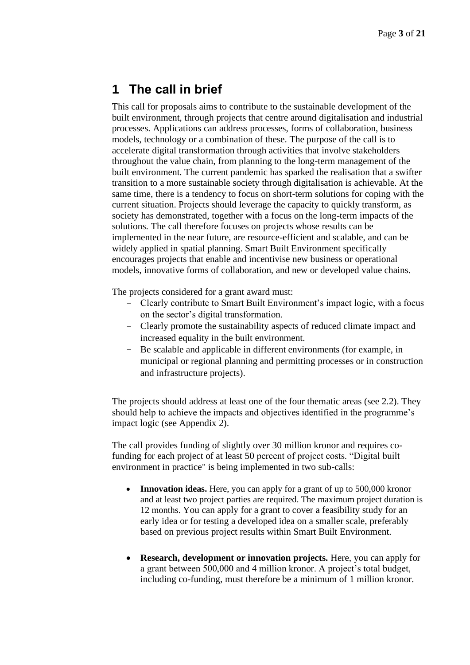### **1 The call in brief**

This call for proposals aims to contribute to the sustainable development of the built environment, through projects that centre around digitalisation and industrial processes. Applications can address processes, forms of collaboration, business models, technology or a combination of these. The purpose of the call is to accelerate digital transformation through activities that involve stakeholders throughout the value chain, from planning to the long-term management of the built environment. The current pandemic has sparked the realisation that a swifter transition to a more sustainable society through digitalisation is achievable. At the same time, there is a tendency to focus on short-term solutions for coping with the current situation. Projects should leverage the capacity to quickly transform, as society has demonstrated, together with a focus on the long-term impacts of the solutions. The call therefore focuses on projects whose results can be implemented in the near future, are resource-efficient and scalable, and can be widely applied in spatial planning. Smart Built Environment specifically encourages projects that enable and incentivise new business or operational models, innovative forms of collaboration, and new or developed value chains.

The projects considered for a grant award must:

- Clearly contribute to Smart Built Environment's impact logic, with a focus on the sector's digital transformation.
- Clearly promote the sustainability aspects of reduced climate impact and increased equality in the built environment.
- Be scalable and applicable in different environments (for example, in municipal or regional planning and permitting processes or in construction and infrastructure projects).

The projects should address at least one of the four thematic areas (see 2.2). They should help to achieve the impacts and objectives identified in the programme's impact logic (see Appendix 2).

The call provides funding of slightly over 30 million kronor and requires cofunding for each project of at least 50 percent of project costs. "Digital built environment in practice" is being implemented in two sub-calls:

- **Innovation ideas.** Here, you can apply for a grant of up to 500,000 kronor and at least two project parties are required. The maximum project duration is 12 months. You can apply for a grant to cover a feasibility study for an early idea or for testing a developed idea on a smaller scale, preferably based on previous project results within Smart Built Environment.
- **Research, development or innovation projects.** Here, you can apply for a grant between 500,000 and 4 million kronor. A project's total budget, including co-funding, must therefore be a minimum of 1 million kronor.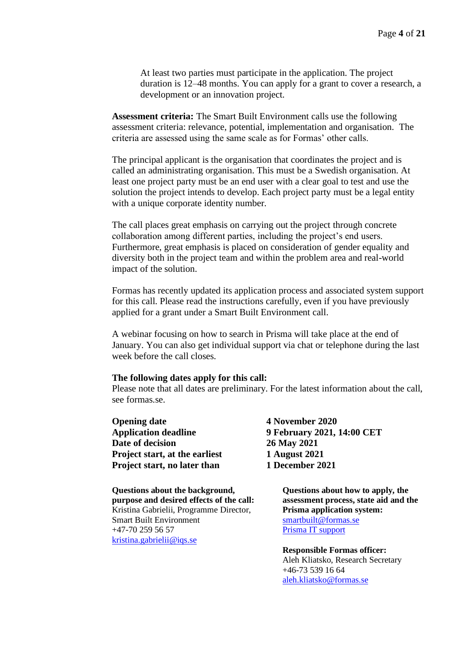At least two parties must participate in the application. The project duration is 12–48 months. You can apply for a grant to cover a research, a development or an innovation project.

**Assessment criteria:** The Smart Built Environment calls use the following assessment criteria: relevance, potential, implementation and organisation. The criteria are assessed using the same scale as for Formas' other calls.

The principal applicant is the organisation that coordinates the project and is called an administrating organisation. This must be a Swedish organisation. At least one project party must be an end user with a clear goal to test and use the solution the project intends to develop. Each project party must be a legal entity with a unique corporate identity number.

The call places great emphasis on carrying out the project through concrete collaboration among different parties, including the project's end users. Furthermore, great emphasis is placed on consideration of gender equality and diversity both in the project team and within the problem area and real-world impact of the solution.

Formas has recently updated its application process and associated system support for this call. Please read the instructions carefully, even if you have previously applied for a grant under a Smart Built Environment call.

A webinar focusing on how to search in Prisma will take place at the end of January. You can also get individual support via chat or telephone during the last week before the call closes.

#### **The following dates apply for this call:**

Please note that all dates are preliminary. For the latest information about the call, see formas.se.

**Opening date 4 November 2020 Date of decision 26 May 2021 Project start, at the earliest 1 August 2021 Project start, no later than 1 December 2021**

**Questions about the background, purpose and desired effects of the call:** Kristina Gabrielii, Programme Director, Smart Built Environment +47-70 259 56 57 [kristina.gabrielii@iqs.se](mailto:kristina.gabrielii@iqs.se)

**Application deadline 9 February 2021, 14:00 CET**

**Questions about how to apply, the assessment process, state aid and the Prisma application system:** [smartbuilt@formas.se](mailto:smartbuilt@formas.se) [Prisma IT support](https://prismasupport.research.se/user-manual/contact.html)

**Responsible Formas officer:** Aleh Kliatsko, Research Secretary +46-73 539 16 64 [aleh.kliatsko@formas.se](mailto:aleh.kliatsko@formas.se)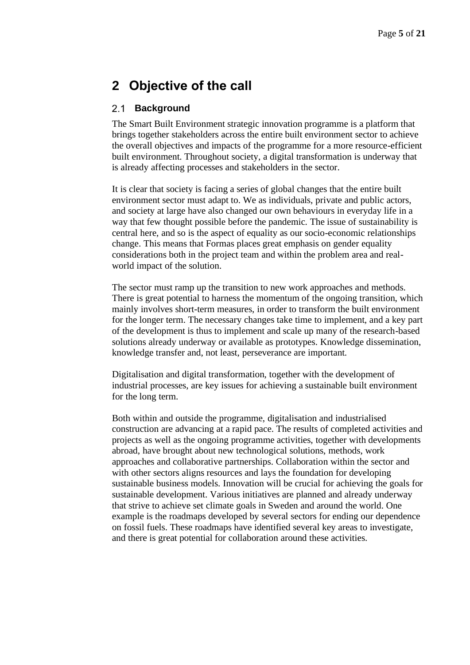### **2 Objective of the call**

#### $2.1$ **Background**

The Smart Built Environment strategic innovation programme is a platform that brings together stakeholders across the entire built environment sector to achieve the overall objectives and impacts of the programme for a more resource-efficient built environment. Throughout society, a digital transformation is underway that is already affecting processes and stakeholders in the sector.

It is clear that society is facing a series of global changes that the entire built environment sector must adapt to. We as individuals, private and public actors, and society at large have also changed our own behaviours in everyday life in a way that few thought possible before the pandemic. The issue of sustainability is central here, and so is the aspect of equality as our socio-economic relationships change. This means that Formas places great emphasis on gender equality considerations both in the project team and within the problem area and realworld impact of the solution.

The sector must ramp up the transition to new work approaches and methods. There is great potential to harness the momentum of the ongoing transition, which mainly involves short-term measures, in order to transform the built environment for the longer term. The necessary changes take time to implement, and a key part of the development is thus to implement and scale up many of the research-based solutions already underway or available as prototypes. Knowledge dissemination, knowledge transfer and, not least, perseverance are important.

Digitalisation and digital transformation, together with the development of industrial processes, are key issues for achieving a sustainable built environment for the long term.

Both within and outside the programme, digitalisation and industrialised construction are advancing at a rapid pace. The results of completed activities and projects as well as the ongoing programme activities, together with developments abroad, have brought about new technological solutions, methods, work approaches and collaborative partnerships. Collaboration within the sector and with other sectors aligns resources and lays the foundation for developing sustainable business models. Innovation will be crucial for achieving the goals for sustainable development. Various initiatives are planned and already underway that strive to achieve set climate goals in Sweden and around the world. One example is the roadmaps developed by several sectors for ending our dependence on fossil fuels. These roadmaps have identified several key areas to investigate, and there is great potential for collaboration around these activities.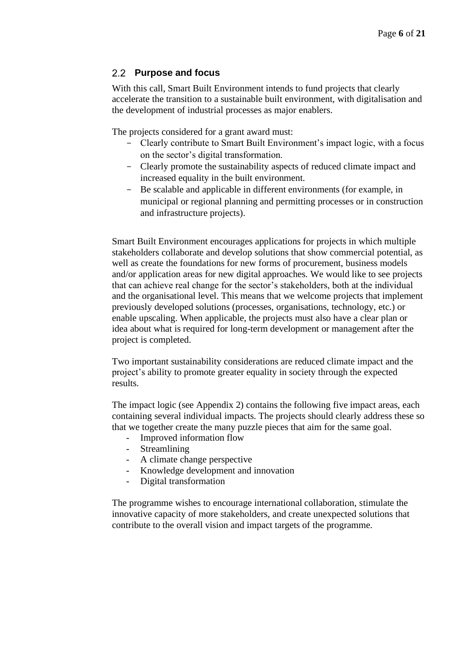#### **Purpose and focus**

With this call, Smart Built Environment intends to fund projects that clearly accelerate the transition to a sustainable built environment, with digitalisation and the development of industrial processes as major enablers.

The projects considered for a grant award must:

- Clearly contribute to Smart Built Environment's impact logic, with a focus on the sector's digital transformation.
- Clearly promote the sustainability aspects of reduced climate impact and increased equality in the built environment.
- Be scalable and applicable in different environments (for example, in municipal or regional planning and permitting processes or in construction and infrastructure projects).

Smart Built Environment encourages applications for projects in which multiple stakeholders collaborate and develop solutions that show commercial potential, as well as create the foundations for new forms of procurement, business models and/or application areas for new digital approaches. We would like to see projects that can achieve real change for the sector's stakeholders, both at the individual and the organisational level. This means that we welcome projects that implement previously developed solutions (processes, organisations, technology, etc.) or enable upscaling. When applicable, the projects must also have a clear plan or idea about what is required for long-term development or management after the project is completed.

Two important sustainability considerations are reduced climate impact and the project's ability to promote greater equality in society through the expected results.

The impact logic (see Appendix 2) contains the following five impact areas, each containing several individual impacts. The projects should clearly address these so that we together create the many puzzle pieces that aim for the same goal.

- Improved information flow
- Streamlining
- A climate change perspective
- Knowledge development and innovation
- Digital transformation

The programme wishes to encourage international collaboration, stimulate the innovative capacity of more stakeholders, and create unexpected solutions that contribute to the overall vision and impact targets of the programme.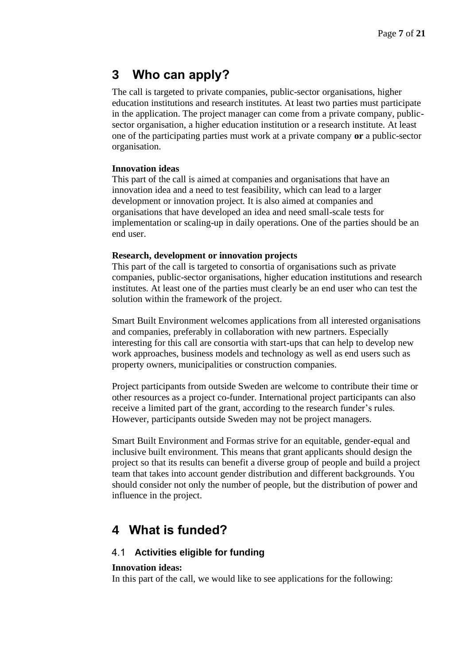# **3 Who can apply?**

The call is targeted to private companies, public-sector organisations, higher education institutions and research institutes. At least two parties must participate in the application. The project manager can come from a private company, publicsector organisation, a higher education institution or a research institute. At least one of the participating parties must work at a private company **or** a public-sector organisation.

#### **Innovation ideas**

This part of the call is aimed at companies and organisations that have an innovation idea and a need to test feasibility, which can lead to a larger development or innovation project. It is also aimed at companies and organisations that have developed an idea and need small-scale tests for implementation or scaling-up in daily operations. One of the parties should be an end user.

#### **Research, development or innovation projects**

This part of the call is targeted to consortia of organisations such as private companies, public-sector organisations, higher education institutions and research institutes. At least one of the parties must clearly be an end user who can test the solution within the framework of the project.

Smart Built Environment welcomes applications from all interested organisations and companies, preferably in collaboration with new partners. Especially interesting for this call are consortia with start-ups that can help to develop new work approaches, business models and technology as well as end users such as property owners, municipalities or construction companies.

Project participants from outside Sweden are welcome to contribute their time or other resources as a project co-funder. International project participants can also receive a limited part of the grant, according to the research funder's rules. However, participants outside Sweden may not be project managers.

Smart Built Environment and Formas strive for an equitable, gender-equal and inclusive built environment. This means that grant applicants should design the project so that its results can benefit a diverse group of people and build a project team that takes into account gender distribution and different backgrounds. You should consider not only the number of people, but the distribution of power and influence in the project.

## **4 What is funded?**

#### **Activities eligible for funding**

#### **Innovation ideas:**

In this part of the call, we would like to see applications for the following: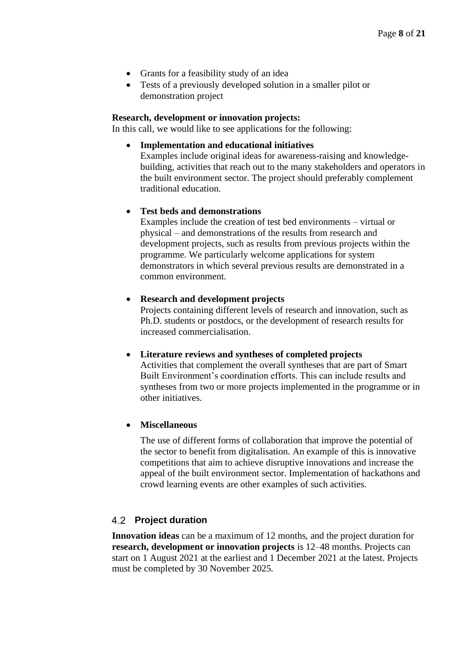- Grants for a feasibility study of an idea
- Tests of a previously developed solution in a smaller pilot or demonstration project

#### **Research, development or innovation projects:**

In this call, we would like to see applications for the following:

• **Implementation and educational initiatives**

Examples include original ideas for awareness-raising and knowledgebuilding, activities that reach out to the many stakeholders and operators in the built environment sector. The project should preferably complement traditional education.

#### • **Test beds and demonstrations**

Examples include the creation of test bed environments – virtual or physical – and demonstrations of the results from research and development projects, such as results from previous projects within the programme. We particularly welcome applications for system demonstrators in which several previous results are demonstrated in a common environment.

#### • **Research and development projects**

Projects containing different levels of research and innovation, such as Ph.D. students or postdocs, or the development of research results for increased commercialisation.

#### • **Literature reviews and syntheses of completed projects**

Activities that complement the overall syntheses that are part of Smart Built Environment's coordination efforts. This can include results and syntheses from two or more projects implemented in the programme or in other initiatives.

#### • **Miscellaneous**

The use of different forms of collaboration that improve the potential of the sector to benefit from digitalisation. An example of this is innovative competitions that aim to achieve disruptive innovations and increase the appeal of the built environment sector. Implementation of hackathons and crowd learning events are other examples of such activities.

#### **Project duration**

**Innovation ideas** can be a maximum of 12 months, and the project duration for **research, development or innovation projects** is 12–48 months. Projects can start on 1 August 2021 at the earliest and 1 December 2021 at the latest. Projects must be completed by 30 November 2025.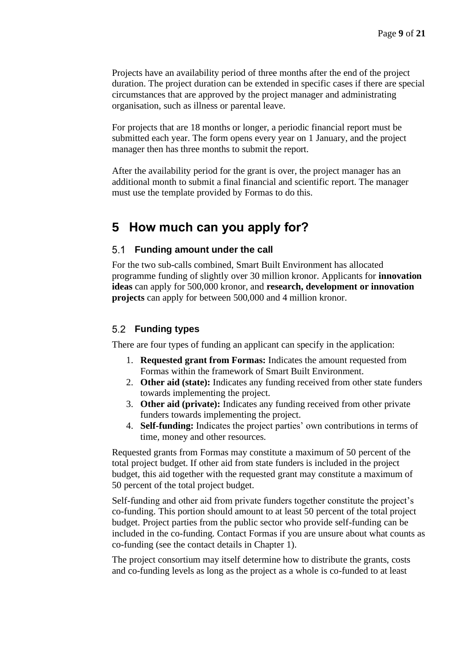Projects have an availability period of three months after the end of the project duration. The project duration can be extended in specific cases if there are special circumstances that are approved by the project manager and administrating organisation, such as illness or parental leave.

For projects that are 18 months or longer, a periodic financial report must be submitted each year. The form opens every year on 1 January, and the project manager then has three months to submit the report.

After the availability period for the grant is over, the project manager has an additional month to submit a final financial and scientific report. The manager must use the template provided by Formas to do this.

### **5 How much can you apply for?**

#### **Funding amount under the call**

For the two sub-calls combined, Smart Built Environment has allocated programme funding of slightly over 30 million kronor. Applicants for **innovation ideas** can apply for 500,000 kronor, and **research, development or innovation projects** can apply for between 500,000 and 4 million kronor.

#### **Funding types**

There are four types of funding an applicant can specify in the application:

- 1. **Requested grant from Formas:** Indicates the amount requested from Formas within the framework of Smart Built Environment.
- 2. **Other aid (state):** Indicates any funding received from other state funders towards implementing the project.
- 3. **Other aid (private):** Indicates any funding received from other private funders towards implementing the project.
- 4. **Self-funding:** Indicates the project parties' own contributions in terms of time, money and other resources.

Requested grants from Formas may constitute a maximum of 50 percent of the total project budget. If other aid from state funders is included in the project budget, this aid together with the requested grant may constitute a maximum of 50 percent of the total project budget.

Self-funding and other aid from private funders together constitute the project's co-funding. This portion should amount to at least 50 percent of the total project budget. Project parties from the public sector who provide self-funding can be included in the co-funding. Contact Formas if you are unsure about what counts as co-funding (see the contact details in Chapter 1).

The project consortium may itself determine how to distribute the grants, costs and co-funding levels as long as the project as a whole is co-funded to at least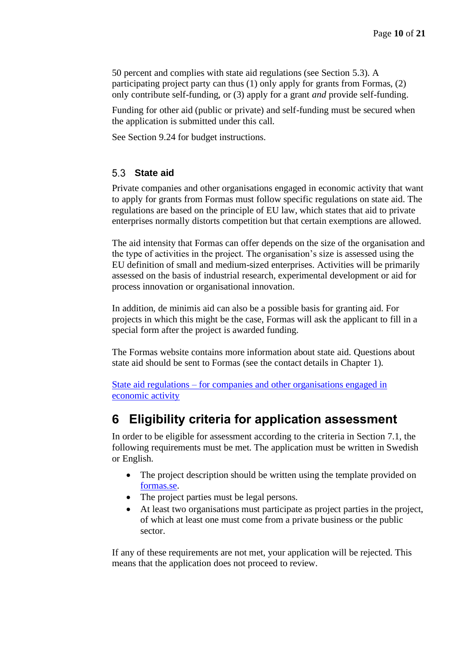50 percent and complies with state aid regulations (see Section 5.3). A participating project party can thus (1) only apply for grants from Formas, (2) only contribute self-funding, or (3) apply for a grant *and* provide self-funding.

Funding for other aid (public or private) and self-funding must be secured when the application is submitted under this call.

See Section 9.24 for budget instructions.

#### **State aid**

Private companies and other organisations engaged in economic activity that want to apply for grants from Formas must follow specific regulations on state aid. The regulations are based on the principle of EU law, which states that aid to private enterprises normally distorts competition but that certain exemptions are allowed.

The aid intensity that Formas can offer depends on the size of the organisation and the type of activities in the project. The organisation's size is assessed using the EU definition of small and medium-sized enterprises. Activities will be primarily assessed on the basis of industrial research, experimental development or aid for process innovation or organisational innovation.

In addition, de minimis aid can also be a possible basis for granting aid. For projects in which this might be the case, Formas will ask the applicant to fill in a special form after the project is awarded funding.

The Formas website contains more information about state aid. Questions about state aid should be sent to Formas (see the contact details in Chapter 1).

State aid regulations – [for companies and other organisations engaged in](https://formas.se/en/start-page/applying-for-funding/different-types-of-financing/strategic-innovation-programmes/state-aid-regulations----for-private-and-public-organisations-that-engage-in-economic-activity.html)  [economic activity](https://formas.se/en/start-page/applying-for-funding/different-types-of-financing/strategic-innovation-programmes/state-aid-regulations----for-private-and-public-organisations-that-engage-in-economic-activity.html)

## **6 Eligibility criteria for application assessment**

In order to be eligible for assessment according to the criteria in Section 7.1, the following requirements must be met. The application must be written in Swedish or English.

- The project description should be written using the template provided on [formas.se.](formas.se/smartbuilt-in-practice)
- The project parties must be legal persons.
- At least two organisations must participate as project parties in the project, of which at least one must come from a private business or the public sector.

If any of these requirements are not met, your application will be rejected. This means that the application does not proceed to review.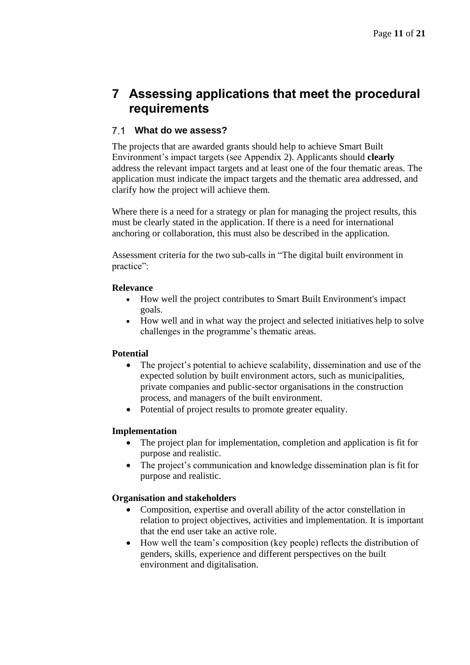# **7 Assessing applications that meet the procedural requirements**

#### **What do we assess?**

The projects that are awarded grants should help to achieve Smart Built Environment's impact targets (see Appendix 2). Applicants should **clearly** address the relevant impact targets and at least one of the four thematic areas. The application must indicate the impact targets and the thematic area addressed, and clarify how the project will achieve them.

Where there is a need for a strategy or plan for managing the project results, this must be clearly stated in the application. If there is a need for international anchoring or collaboration, this must also be described in the application.

Assessment criteria for the two sub-calls in "The digital built environment in practice":

#### **Relevance**

- How well the project contributes to Smart Built Environment's impact goals.
- How well and in what way the project and selected initiatives help to solve challenges in the programme's thematic areas.

#### **Potential**

- The project's potential to achieve scalability, dissemination and use of the expected solution by built environment actors, such as municipalities, private companies and public-sector organisations in the construction process, and managers of the built environment.
- Potential of project results to promote greater equality.

#### **Implementation**

- The project plan for implementation, completion and application is fit for purpose and realistic.
- The project's communication and knowledge dissemination plan is fit for purpose and realistic.

#### **Organisation and stakeholders**

- Composition, expertise and overall ability of the actor constellation in relation to project objectives, activities and implementation. It is important that the end user take an active role.
- How well the team's composition (key people) reflects the distribution of genders, skills, experience and different perspectives on the built environment and digitalisation.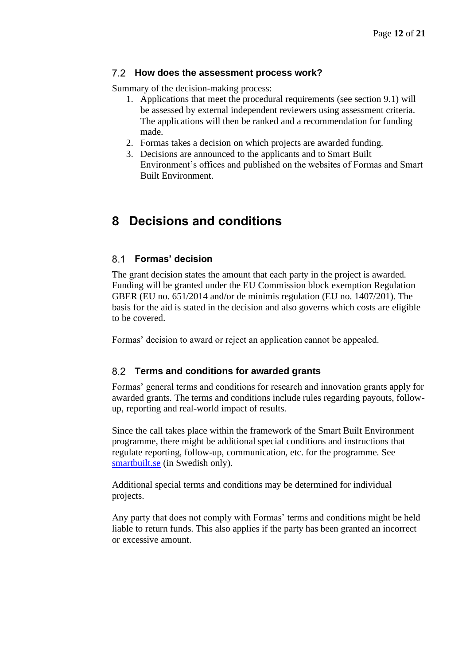#### **How does the assessment process work?**

Summary of the decision-making process:

- 1. Applications that meet the procedural requirements (see section 9.1) will be assessed by external independent reviewers using assessment criteria. The applications will then be ranked and a recommendation for funding made.
- 2. Formas takes a decision on which projects are awarded funding.
- 3. Decisions are announced to the applicants and to Smart Built Environment's offices and published on the websites of Formas and Smart Built Environment.

## **8 Decisions and conditions**

#### **Formas' decision**

The grant decision states the amount that each party in the project is awarded. Funding will be granted under the EU Commission block exemption Regulation GBER (EU no. 651/2014 and/or de minimis regulation (EU no. 1407/201). The basis for the aid is stated in the decision and also governs which costs are eligible to be covered.

Formas' decision to award or reject an application cannot be appealed.

#### **Terms and conditions for awarded grants**

Formas' general terms and conditions for research and innovation grants apply for awarded grants. The terms and conditions include rules regarding payouts, followup, reporting and real-world impact of results.

Since the call takes place within the framework of the Smart Built Environment programme, there might be additional special conditions and instructions that regulate reporting, follow-up, communication, etc. for the programme. See [smartbuilt.se](http://www.smartbuilt.se/verktyg) (in Swedish only).

Additional special terms and conditions may be determined for individual projects.

Any party that does not comply with Formas' terms and conditions might be held liable to return funds. This also applies if the party has been granted an incorrect or excessive amount.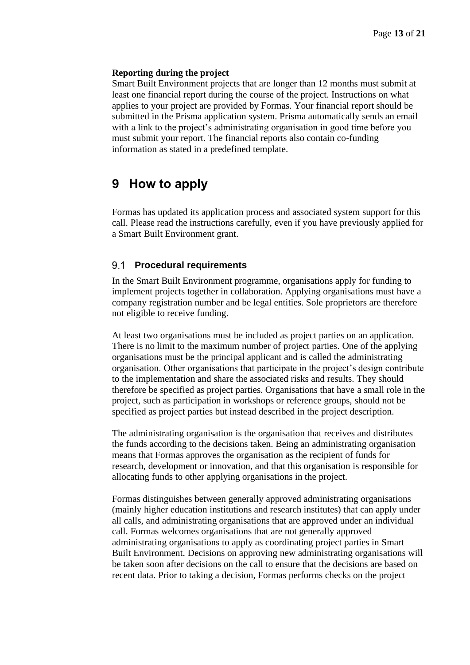#### **Reporting during the project**

Smart Built Environment projects that are longer than 12 months must submit at least one financial report during the course of the project. Instructions on what applies to your project are provided by Formas. Your financial report should be submitted in the Prisma application system. Prisma automatically sends an email with a link to the project's administrating organisation in good time before you must submit your report. The financial reports also contain co-funding information as stated in a predefined template.

## **9 How to apply**

Formas has updated its application process and associated system support for this call. Please read the instructions carefully, even if you have previously applied for a Smart Built Environment grant.

#### **Procedural requirements**

In the Smart Built Environment programme, organisations apply for funding to implement projects together in collaboration. Applying organisations must have a company registration number and be legal entities. Sole proprietors are therefore not eligible to receive funding.

At least two organisations must be included as project parties on an application. There is no limit to the maximum number of project parties. One of the applying organisations must be the principal applicant and is called the administrating organisation. Other organisations that participate in the project's design contribute to the implementation and share the associated risks and results. They should therefore be specified as project parties. Organisations that have a small role in the project, such as participation in workshops or reference groups, should not be specified as project parties but instead described in the project description.

The administrating organisation is the organisation that receives and distributes the funds according to the decisions taken. Being an administrating organisation means that Formas approves the organisation as the recipient of funds for research, development or innovation, and that this organisation is responsible for allocating funds to other applying organisations in the project.

Formas distinguishes between generally approved administrating organisations (mainly higher education institutions and research institutes) that can apply under all calls, and administrating organisations that are approved under an individual call. Formas welcomes organisations that are not generally approved administrating organisations to apply as coordinating project parties in Smart Built Environment. Decisions on approving new administrating organisations will be taken soon after decisions on the call to ensure that the decisions are based on recent data. Prior to taking a decision, Formas performs checks on the project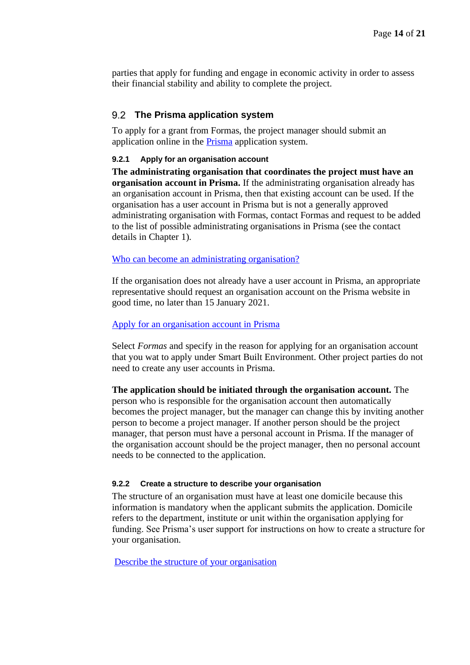parties that apply for funding and engage in economic activity in order to assess their financial stability and ability to complete the project.

#### **The Prisma application system**

To apply for a grant from Formas, the project manager should submit an application online in the [Prisma](https://prisma.research.se/) application system.

#### **9.2.1 Apply for an organisation account**

**The administrating organisation that coordinates the project must have an organisation account in Prisma.** If the administrating organisation already has an organisation account in Prisma, then that existing account can be used. If the organisation has a user account in Prisma but is not a generally approved administrating organisation with Formas, contact Formas and request to be added to the list of possible administrating organisations in Prisma (see the contact details in Chapter 1).

[Who can become an administrating organisation?](https://formas.se/en/start-page/applying-for-funding/how-it-works/who-can-apply-for-funding/who-can-become-an-administrating-organisation.html)

If the organisation does not already have a user account in Prisma, an appropriate representative should request an organisation account on the Prisma website in good time, no later than 15 January 2021.

#### [Apply for an organisation account in Prisma](https://prismasupport.research.se/user-manual/create-account/organisation-account.html)

Select *Formas* and specify in the reason for applying for an organisation account that you wat to apply under Smart Built Environment. Other project parties do not need to create any user accounts in Prisma.

**The application should be initiated through the organisation account.** The person who is responsible for the organisation account then automatically becomes the project manager, but the manager can change this by inviting another person to become a project manager. If another person should be the project manager, that person must have a personal account in Prisma. If the manager of the organisation account should be the project manager, then no personal account needs to be connected to the application.

#### **9.2.2 Create a structure to describe your organisation**

The structure of an organisation must have at least one domicile because this information is mandatory when the applicant submits the application. Domicile refers to the department, institute or unit within the organisation applying for funding. See Prisma's user support for instructions on how to create a structure for your organisation.

[Describe the structure of your organisation](https://prismasupport.research.se/user-manual/organisation-account/structure.html)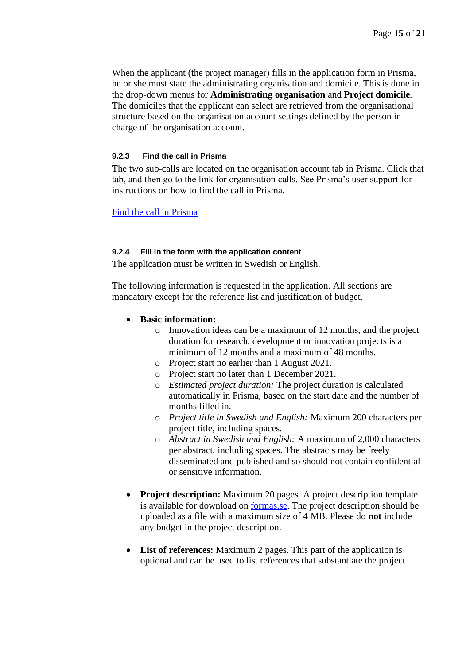When the applicant (the project manager) fills in the application form in Prisma, he or she must state the administrating organisation and domicile. This is done in the drop-down menus for **Administrating organisation** and **Project domicile**. The domiciles that the applicant can select are retrieved from the organisational structure based on the organisation account settings defined by the person in charge of the organisation account.

#### **9.2.3 Find the call in Prisma**

The two sub-calls are located on the organisation account tab in Prisma. Click that tab, and then go to the link for organisation calls. See Prisma's user support for instructions on how to find the call in Prisma.

[Find the call in Prisma](https://prismasupport.research.se/user-manual/organisation-account/calls-for-organisations.html)

#### **9.2.4 Fill in the form with the application content**

The application must be written in Swedish or English.

The following information is requested in the application. All sections are mandatory except for the reference list and justification of budget.

#### • **Basic information:**

- o Innovation ideas can be a maximum of 12 months, and the project duration for research, development or innovation projects is a minimum of 12 months and a maximum of 48 months.
- o Project start no earlier than 1 August 2021.
- o Project start no later than 1 December 2021.
- o *Estimated project duration:* The project duration is calculated automatically in Prisma, based on the start date and the number of months filled in.
- o *Project title in Swedish and English:* Maximum 200 characters per project title, including spaces.
- o *Abstract in Swedish and English:* A maximum of 2,000 characters per abstract, including spaces. The abstracts may be freely disseminated and published and so should not contain confidential or sensitive information.
- **Project description:** Maximum 20 pages. A project description template is available for download on [formas.se.](formas.se/smartbuilt-in-practice) The project description should be uploaded as a file with a maximum size of 4 MB. Please do **not** include any budget in the project description.
- **List of references:** Maximum 2 pages. This part of the application is optional and can be used to list references that substantiate the project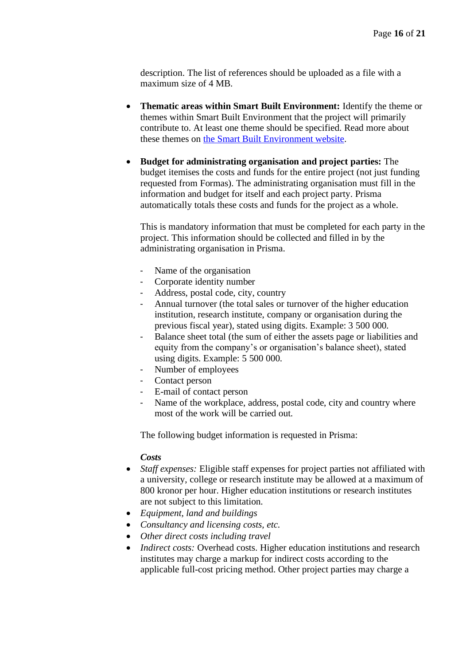description. The list of references should be uploaded as a file with a maximum size of 4 MB.

- **Thematic areas within Smart Built Environment:** Identify the theme or themes within Smart Built Environment that the project will primarily contribute to. At least one theme should be specified. Read more about these themes on [the Smart Built Environment website.](https://www.smartbuilt.se/in-english/)
- **Budget for administrating organisation and project parties:** The budget itemises the costs and funds for the entire project (not just funding requested from Formas). The administrating organisation must fill in the information and budget for itself and each project party. Prisma automatically totals these costs and funds for the project as a whole.

This is mandatory information that must be completed for each party in the project. This information should be collected and filled in by the administrating organisation in Prisma.

- Name of the organisation
- Corporate identity number
- Address, postal code, city, country
- Annual turnover (the total sales or turnover of the higher education institution, research institute, company or organisation during the previous fiscal year), stated using digits. Example: 3 500 000.
- Balance sheet total (the sum of either the assets page or liabilities and equity from the company's or organisation's balance sheet), stated using digits. Example: 5 500 000.
- Number of employees
- Contact person
- E-mail of contact person
- Name of the workplace, address, postal code, city and country where most of the work will be carried out.

The following budget information is requested in Prisma:

#### *Costs*

- *Staff expenses:* Eligible staff expenses for project parties not affiliated with a university, college or research institute may be allowed at a maximum of 800 kronor per hour. Higher education institutions or research institutes are not subject to this limitation.
- *Equipment, land and buildings*
- *Consultancy and licensing costs, etc.*
- *Other direct costs including travel*
- *Indirect costs:* Overhead costs. Higher education institutions and research institutes may charge a markup for indirect costs according to the applicable full-cost pricing method. Other project parties may charge a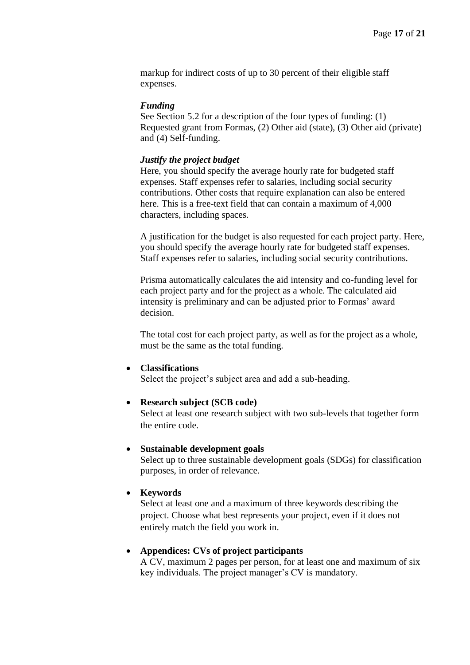markup for indirect costs of up to 30 percent of their eligible staff expenses.

#### *Funding*

See Section 5.2 for a description of the four types of funding: (1) Requested grant from Formas, (2) Other aid (state), (3) Other aid (private) and (4) Self-funding.

#### *Justify the project budget*

Here, you should specify the average hourly rate for budgeted staff expenses. Staff expenses refer to salaries, including social security contributions. Other costs that require explanation can also be entered here. This is a free-text field that can contain a maximum of 4,000 characters, including spaces.

A justification for the budget is also requested for each project party. Here, you should specify the average hourly rate for budgeted staff expenses. Staff expenses refer to salaries, including social security contributions.

Prisma automatically calculates the aid intensity and co-funding level for each project party and for the project as a whole. The calculated aid intensity is preliminary and can be adjusted prior to Formas' award decision.

The total cost for each project party, as well as for the project as a whole, must be the same as the total funding.

#### • **Classifications**

Select the project's subject area and add a sub-heading.

#### • **Research subject (SCB code)**

Select at least one research subject with two sub-levels that together form the entire code.

#### • **Sustainable development goals**

Select up to three sustainable development goals (SDGs) for classification purposes, in order of relevance.

#### • **Keywords**

Select at least one and a maximum of three keywords describing the project. Choose what best represents your project, even if it does not entirely match the field you work in.

#### • **Appendices: CVs of project participants**

A CV, maximum 2 pages per person, for at least one and maximum of six key individuals. The project manager's CV is mandatory.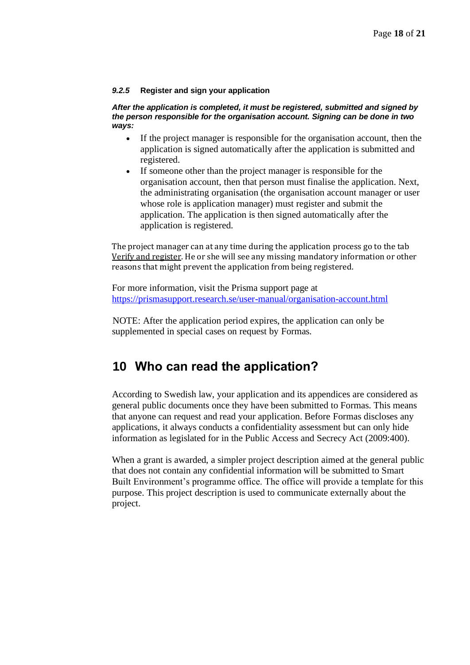#### *9.2.5* **Register and sign your application**

*After the application is completed, it must be registered, submitted and signed by the person responsible for the organisation account. Signing can be done in two ways:* 

- If the project manager is responsible for the organisation account, then the application is signed automatically after the application is submitted and registered.
- If someone other than the project manager is responsible for the organisation account, then that person must finalise the application. Next, the administrating organisation (the organisation account manager or user whose role is application manager) must register and submit the application. The application is then signed automatically after the application is registered.

The project manager can at any time during the application process go to the tab Verify and register. He or she will see any missing mandatory information or other reasons that might prevent the application from being registered.

For more information, visit the Prisma support page at <https://prismasupport.research.se/user-manual/organisation-account.html>

NOTE: After the application period expires, the application can only be supplemented in special cases on request by Formas.

### **10 Who can read the application?**

According to Swedish law, your application and its appendices are considered as general public documents once they have been submitted to Formas. This means that anyone can request and read your application. Before Formas discloses any applications, it always conducts a confidentiality assessment but can only hide information as legislated for in the Public Access and Secrecy Act (2009:400).

When a grant is awarded, a simpler project description aimed at the general public that does not contain any confidential information will be submitted to Smart Built Environment's programme office. The office will provide a template for this purpose. This project description is used to communicate externally about the project.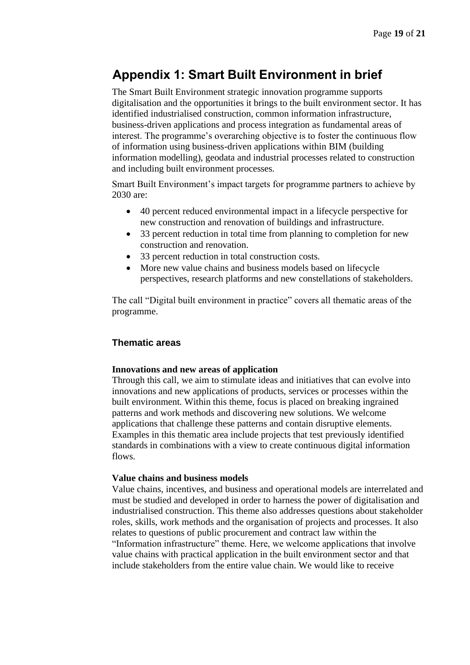# **Appendix 1: Smart Built Environment in brief**

The Smart Built Environment strategic innovation programme supports digitalisation and the opportunities it brings to the built environment sector. It has identified industrialised construction, common information infrastructure, business-driven applications and process integration as fundamental areas of interest. The programme's overarching objective is to foster the continuous flow of information using business-driven applications within BIM (building information modelling), geodata and industrial processes related to construction and including built environment processes.

Smart Built Environment's impact targets for programme partners to achieve by 2030 are:

- 40 percent reduced environmental impact in a lifecycle perspective for new construction and renovation of buildings and infrastructure.
- 33 percent reduction in total time from planning to completion for new construction and renovation.
- 33 percent reduction in total construction costs.
- More new value chains and business models based on lifecycle perspectives, research platforms and new constellations of stakeholders.

The call "Digital built environment in practice" covers all thematic areas of the programme.

#### **Thematic areas**

#### **Innovations and new areas of application**

Through this call, we aim to stimulate ideas and initiatives that can evolve into innovations and new applications of products, services or processes within the built environment. Within this theme, focus is placed on breaking ingrained patterns and work methods and discovering new solutions. We welcome applications that challenge these patterns and contain disruptive elements. Examples in this thematic area include projects that test previously identified standards in combinations with a view to create continuous digital information flows.

#### **Value chains and business models**

Value chains, incentives, and business and operational models are interrelated and must be studied and developed in order to harness the power of digitalisation and industrialised construction. This theme also addresses questions about stakeholder roles, skills, work methods and the organisation of projects and processes. It also relates to questions of public procurement and contract law within the "Information infrastructure" theme. Here, we welcome applications that involve value chains with practical application in the built environment sector and that include stakeholders from the entire value chain. We would like to receive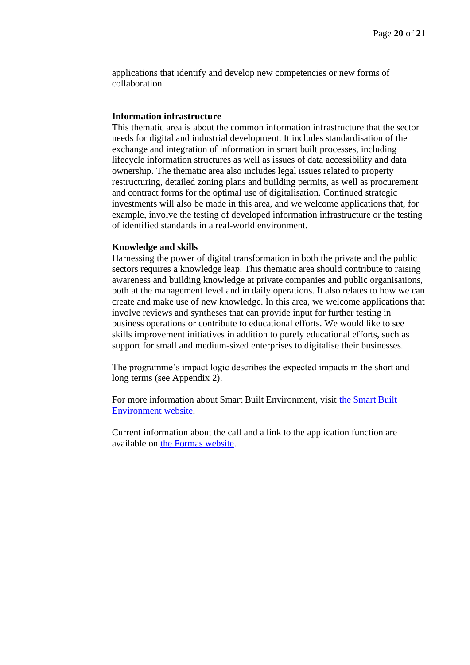applications that identify and develop new competencies or new forms of collaboration.

#### **Information infrastructure**

This thematic area is about the common information infrastructure that the sector needs for digital and industrial development. It includes standardisation of the exchange and integration of information in smart built processes, including lifecycle information structures as well as issues of data accessibility and data ownership. The thematic area also includes legal issues related to property restructuring, detailed zoning plans and building permits, as well as procurement and contract forms for the optimal use of digitalisation. Continued strategic investments will also be made in this area, and we welcome applications that, for example, involve the testing of developed information infrastructure or the testing of identified standards in a real-world environment.

#### **Knowledge and skills**

Harnessing the power of digital transformation in both the private and the public sectors requires a knowledge leap. This thematic area should contribute to raising awareness and building knowledge at private companies and public organisations, both at the management level and in daily operations. It also relates to how we can create and make use of new knowledge. In this area, we welcome applications that involve reviews and syntheses that can provide input for further testing in business operations or contribute to educational efforts. We would like to see skills improvement initiatives in addition to purely educational efforts, such as support for small and medium-sized enterprises to digitalise their businesses.

The programme's impact logic describes the expected impacts in the short and long terms (see Appendix 2).

For more information about Smart Built Environment, visit [the Smart Built](https://www.smartbuilt.se/in-english/)  [Environment website.](https://www.smartbuilt.se/in-english/)

Current information about the call and a link to the application function are available on [the Formas website.](https://formas.se/en/start-page/archive/list-calls.html)